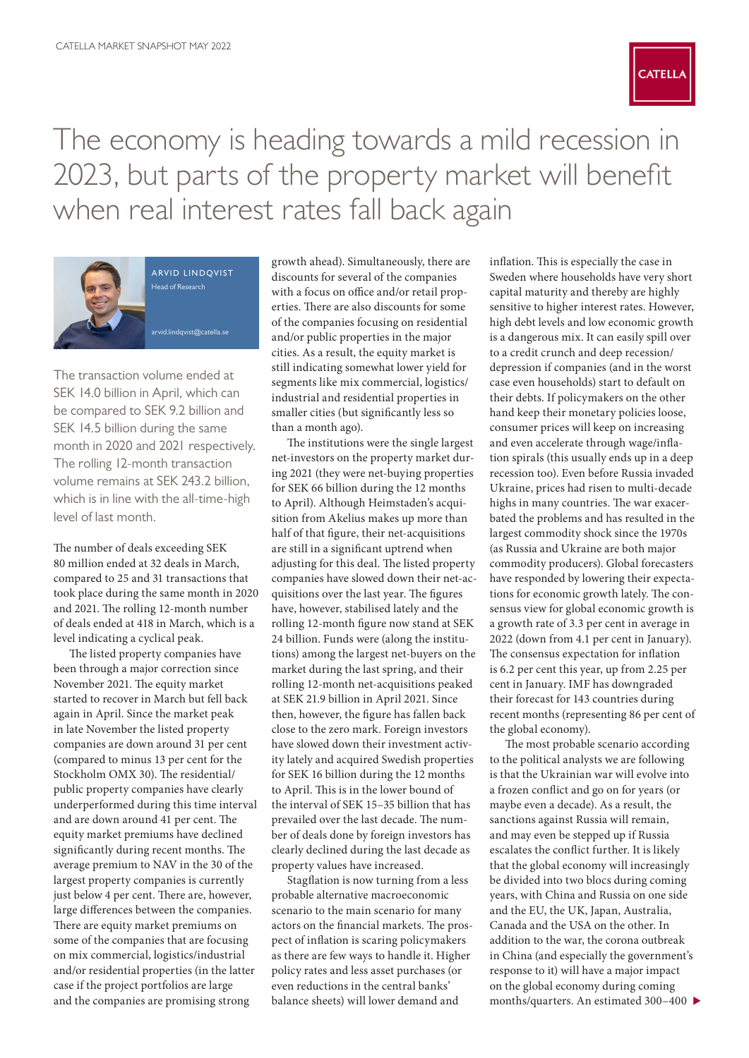

The economy is heading towards a mild recession in 2023, but parts of the property market will benefit when real interest rates fall back again



arvid lindqvist Head of Research

[arvid.lindqvist@catella.se](mailto:arvid.lindqvist%40catella.se?subject=)

The transaction volume ended at SEK 14.0 billion in April, which can be compared to SEK 9.2 billion and SEK 14.5 billion during the same month in 2020 and 2021 respectively. The rolling 12-month transaction volume remains at SEK 243.2 billion, which is in line with the all-time-high level of last month.

The number of deals exceeding SEK 80 million ended at 32 deals in March, compared to 25 and 31 transactions that took place during the same month in 2020 and 2021. The rolling 12-month number of deals ended at 418 in March, which is a level indicating a cyclical peak.

The listed property companies have been through a major correction since November 2021. The equity market started to recover in March but fell back again in April. Since the market peak in late November the listed property companies are down around 31 per cent (compared to minus 13 per cent for the Stockholm OMX 30). The residential/ public property companies have clearly underperformed during this time interval and are down around 41 per cent. The equity market premiums have declined significantly during recent months. The average premium to NAV in the 30 of the largest property companies is currently just below 4 per cent. There are, however, large differences between the companies. There are equity market premiums on some of the companies that are focusing on mix commercial, logistics/industrial and/or residential properties (in the latter case if the project portfolios are large and the companies are promising strong

growth ahead). Simultaneously, there are discounts for several of the companies with a focus on office and/or retail properties. There are also discounts for some of the companies focusing on residential and/or public properties in the major cities. As a result, the equity market is still indicating somewhat lower yield for segments like mix commercial, logistics/ industrial and residential properties in smaller cities (but significantly less so than a month ago).

The institutions were the single largest net-investors on the property market during 2021 (they were net-buying properties for SEK 66 billion during the 12 months to April). Although Heimstaden's acquisition from Akelius makes up more than half of that figure, their net-acquisitions are still in a significant uptrend when adjusting for this deal. The listed property companies have slowed down their net-acquisitions over the last year. The figures have, however, stabilised lately and the rolling 12-month figure now stand at SEK 24 billion. Funds were (along the institutions) among the largest net-buyers on the market during the last spring, and their rolling 12-month net-acquisitions peaked at SEK 21.9 billion in April 2021. Since then, however, the figure has fallen back close to the zero mark. Foreign investors have slowed down their investment activity lately and acquired Swedish properties for SEK 16 billion during the 12 months to April. This is in the lower bound of the interval of SEK 15–35 billion that has prevailed over the last decade. The number of deals done by foreign investors has clearly declined during the last decade as property values have increased.

Stagflation is now turning from a less probable alternative macroeconomic scenario to the main scenario for many actors on the financial markets. The prospect of inflation is scaring policymakers as there are few ways to handle it. Higher policy rates and less asset purchases (or even reductions in the central banks' balance sheets) will lower demand and

inflation. This is especially the case in Sweden where households have very short capital maturity and thereby are highly sensitive to higher interest rates. However, high debt levels and low economic growth is a dangerous mix. It can easily spill over to a credit crunch and deep recession/ depression if companies (and in the worst case even households) start to default on their debts. If policymakers on the other hand keep their monetary policies loose, consumer prices will keep on increasing and even accelerate through wage/inflation spirals (this usually ends up in a deep recession too). Even before Russia invaded Ukraine, prices had risen to multi-decade highs in many countries. The war exacerbated the problems and has resulted in the largest commodity shock since the 1970s (as Russia and Ukraine are both major commodity producers). Global forecasters have responded by lowering their expectations for economic growth lately. The consensus view for global economic growth is a growth rate of 3.3 per cent in average in 2022 (down from 4.1 per cent in January). The consensus expectation for inflation is 6.2 per cent this year, up from 2.25 per cent in January. IMF has downgraded their forecast for 143 countries during recent months (representing 86 per cent of the global economy).

The most probable scenario according to the political analysts we are following is that the Ukrainian war will evolve into a frozen conflict and go on for years (or maybe even a decade). As a result, the sanctions against Russia will remain, and may even be stepped up if Russia escalates the conflict further. It is likely that the global economy will increasingly be divided into two blocs during coming years, with China and Russia on one side and the EU, the UK, Japan, Australia, Canada and the USA on the other. In addition to the war, the corona outbreak in China (and especially the government's response to it) will have a major impact on the global economy during coming months/quarters. An estimated 300–400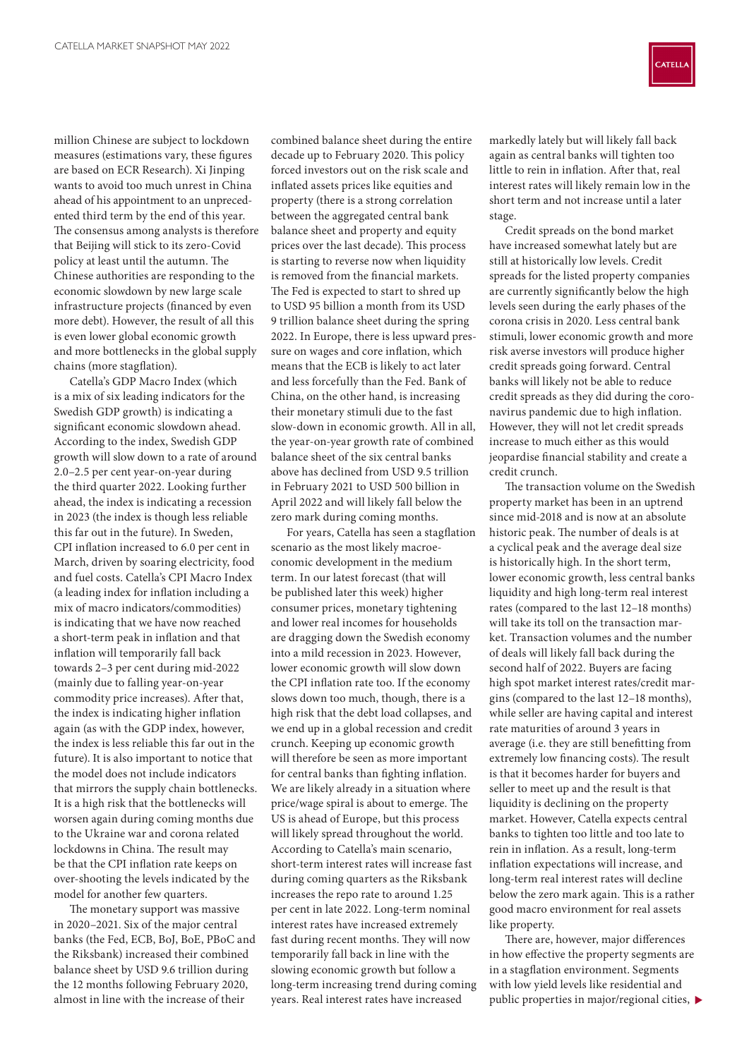million Chinese are subject to lockdown measures (estimations vary, these figures are based on ECR Research). Xi Jinping wants to avoid too much unrest in China ahead of his appointment to an unprecedented third term by the end of this year. The consensus among analysts is therefore that Beijing will stick to its zero-Covid policy at least until the autumn. The Chinese authorities are responding to the economic slowdown by new large scale infrastructure projects (financed by even more debt). However, the result of all this is even lower global economic growth and more bottlenecks in the global supply chains (more stagflation).

Catella's GDP Macro Index (which is a mix of six leading indicators for the Swedish GDP growth) is indicating a significant economic slowdown ahead. According to the index, Swedish GDP growth will slow down to a rate of around 2.0–2.5 per cent year-on-year during the third quarter 2022. Looking further ahead, the index is indicating a recession in 2023 (the index is though less reliable this far out in the future). In Sweden, CPI inflation increased to 6.0 per cent in March, driven by soaring electricity, food and fuel costs. Catella's CPI Macro Index (a leading index for inflation including a mix of macro indicators/commodities) is indicating that we have now reached a short-term peak in inflation and that inflation will temporarily fall back towards 2–3 per cent during mid-2022 (mainly due to falling year-on-year commodity price increases). After that, the index is indicating higher inflation again (as with the GDP index, however, the index is less reliable this far out in the future). It is also important to notice that the model does not include indicators that mirrors the supply chain bottlenecks. It is a high risk that the bottlenecks will worsen again during coming months due to the Ukraine war and corona related lockdowns in China. The result may be that the CPI inflation rate keeps on over-shooting the levels indicated by the model for another few quarters.

The monetary support was massive in 2020–2021. Six of the major central banks (the Fed, ECB, BoJ, BoE, PBoC and the Riksbank) increased their combined balance sheet by USD 9.6 trillion during the 12 months following February 2020, almost in line with the increase of their

combined balance sheet during the entire decade up to February 2020. This policy forced investors out on the risk scale and inflated assets prices like equities and property (there is a strong correlation between the aggregated central bank balance sheet and property and equity prices over the last decade). This process is starting to reverse now when liquidity is removed from the financial markets. The Fed is expected to start to shred up to USD 95 billion a month from its USD 9 trillion balance sheet during the spring 2022. In Europe, there is less upward pressure on wages and core inflation, which means that the ECB is likely to act later and less forcefully than the Fed. Bank of China, on the other hand, is increasing their monetary stimuli due to the fast slow-down in economic growth. All in all, the year-on-year growth rate of combined balance sheet of the six central banks above has declined from USD 9.5 trillion in February 2021 to USD 500 billion in April 2022 and will likely fall below the zero mark during coming months.

For years, Catella has seen a stagflation scenario as the most likely macroeconomic development in the medium term. In our latest forecast (that will be published later this week) higher consumer prices, monetary tightening and lower real incomes for households are dragging down the Swedish economy into a mild recession in 2023. However, lower economic growth will slow down the CPI inflation rate too. If the economy slows down too much, though, there is a high risk that the debt load collapses, and we end up in a global recession and credit crunch. Keeping up economic growth will therefore be seen as more important for central banks than fighting inflation. We are likely already in a situation where price/wage spiral is about to emerge. The US is ahead of Europe, but this process will likely spread throughout the world. According to Catella's main scenario, short-term interest rates will increase fast during coming quarters as the Riksbank increases the repo rate to around 1.25 per cent in late 2022. Long-term nominal interest rates have increased extremely fast during recent months. They will now temporarily fall back in line with the slowing economic growth but follow a long-term increasing trend during coming years. Real interest rates have increased

markedly lately but will likely fall back again as central banks will tighten too little to rein in inflation. After that, real interest rates will likely remain low in the short term and not increase until a later stage.

Credit spreads on the bond market have increased somewhat lately but are still at historically low levels. Credit spreads for the listed property companies are currently significantly below the high levels seen during the early phases of the corona crisis in 2020. Less central bank stimuli, lower economic growth and more risk averse investors will produce higher credit spreads going forward. Central banks will likely not be able to reduce credit spreads as they did during the coronavirus pandemic due to high inflation. However, they will not let credit spreads increase to much either as this would jeopardise financial stability and create a credit crunch.

The transaction volume on the Swedish property market has been in an uptrend since mid-2018 and is now at an absolute historic peak. The number of deals is at a cyclical peak and the average deal size is historically high. In the short term, lower economic growth, less central banks liquidity and high long-term real interest rates (compared to the last 12–18 months) will take its toll on the transaction market. Transaction volumes and the number of deals will likely fall back during the second half of 2022. Buyers are facing high spot market interest rates/credit margins (compared to the last 12–18 months), while seller are having capital and interest rate maturities of around 3 years in average (i.e. they are still benefitting from extremely low financing costs). The result is that it becomes harder for buyers and seller to meet up and the result is that liquidity is declining on the property market. However, Catella expects central banks to tighten too little and too late to rein in inflation. As a result, long-term inflation expectations will increase, and long-term real interest rates will decline below the zero mark again. This is a rather good macro environment for real assets like property.

There are, however, major differences in how effective the property segments are in a stagflation environment. Segments with low yield levels like residential and public properties in major/regional cities,